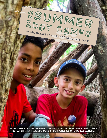

**THESE MATERIALS WERE CREATED BY THE ANOKA COUNTY PARKS DEPARTMENT. THIS IS NOT A FOREST LAKE AREA SCHOOL DISTRICT SPONSORED OR ENDORSED ACTIVITY.**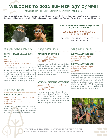# WELCOME TO 2022 SUMMER DAY CAMPS! REGISTRATION OPENS FEBRUARY 7

We are excited to be offering in-person camps this summer which will provide a safe, healthy, and fun experience for your child as we follow MDH/CDC and Anoka County guidelines. We look forward to seeing you this summer!



## PRE-REGISTRATION REQUIRED FOR ALL CAMPS

**ANOKACOUNTYPARKS.COM 763-324-3350**

REGISTER FOR GRADE COMPLETED IN SPRING OF 2022

# GRANDPARENTS

### **CRANES, DRAGONS, AND BATS, OH MY!**

July 15; 6 pm - 9:30 pm Wargo Nature Center Cost: \$25/person +tax (Ages 5+ and grandparents)

Explore and discover wildlife that are active during the long summer evening in the woods and along the vast marshes nearby. Learn some tips and tricks for how to be safe in the outdoors. Catch and release dragonflies, play like a bat, and call like a crane! After our adventures, create fruity snacks to make and taste with your grandchild!

# PRESCHOOL

### **NATURE EXPLORERS**

June 20 - 23; 9 am - 12 pm or 1 - 4 pm Wargo Nature Center Cost: \$100 +tax (Ages 4-5 at time of registration)

Nature is full of hidden places and surprises! Join us as we seek out these special places and critters. We will create, explore, and learn about the unseen secret wonders of the natural world!

# GRADES K-2 GRADES 3-6

### **IMAGINATION STATION**

July 11 - 14; 9 am - 3 pm Wargo Nature Center Cost: \$160 +tax

A week of nature exploration and imagination! We'll take inspiration from classic stories and create our own new stories as we discover hidden worlds, build, create, and have grand adventures. Let's discover the magic of nature together and dream as big as we want to!

### **MYSTICAL CREATURE ADVENTURE**

August 1 - 4; 9 am - 12 pm or 1 - 4 pm Wargo Nature Center Cost: \$100 +tax

Join us on an adventure through the forests, prairies, and wetlands of the Rice Creek Chain of Lakes in search of wondrous creatures. We will explore the realms of fairies, dwarves, trolls, and maybe even a lake monster as we learn about the mysterious things that live in our world!

#### **SURVIVAL ADVENTURES I**

June 27 - 30; 9 am - 3 pm Wargo Nature Center Cost: \$160 +tax

### **SURVIVAL ADVENTURES II**

August 22 - 25; 9 am - 3 pm Wargo Nature Center Cost: \$160 +tax

Have you ever dreamed of living out in the woods with nothing but a stick shelter and a campfire? In this camp, we'll spend our week learning the skills needed to feel comfortable in the forest and what humans need to survive. We'll make shelters build fires, navigate using a GPS device, and learn basic first aid principles. Test your knowledge and discover new skills in this hands-on camp.



PROFESSIONAL EDUCATORS • LOW STAFF TO PARTICIPANT RATIO CERTIFIED IN CPR, AED, AND FIRST AID • NATURE BASED CURRICULM

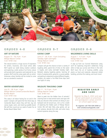

#### **ART OF NATURE**

August 15 - 18; 9 am - 4 pm Wargo Nature Center Cost: \$160 +tax

The natural world is a huge source of inspiration for writers, musicians, and visual artists alike. We'll spend our week being creative outdoors and exploring a wide variety of art forms; nature will provide both inspiration and materials for our projects. We'll end the camp week with an artists' showcase, where families will be invited to come see our wonderful creations!

### **WATER ADVENTURES**

July 25 - 28; 9 am - 4 pm Wargo Nature Center/Centerville Beach/ Bunker Beach Cost: \$160 +tax

water! Campers will spend the first three days at Centerville Beach where they will fish, log roll, canoe, kayak, swim, and stand-up paddle board. We will then round out our week of water fun at Bunker Beach Water Park!

# GRADES 4-6 GRADES 5-7 GRADES 6-8

#### **KAYAK CAMP**

June 27 - 29; 9 am - 4 pm (including Tuesday night overnight) Wargo Nature Center Cost: \$160 +tax

Campers will get the chance to learn a variety of kayaking skills, spend lots of time on the water in kayaks, and camp overnight Tuesday night. kinds of camping skills, going for a sunset paddle, and getting to experience several different kayaks, campers can expect a fun-filled three days (and one night) of camp.

#### **WILDERNESS LIVING SKILLS**

August 1 - 4; 9 am - 4 pm Wargo Nature Center Cost: \$160 +tax

A step up from our Survival Adventures camp, we'll be exploring long-term wilderness living skills to help you survive and thrive in the wild. We'll learn the art of tracking wildlife, using Between playing kayaking games, learning all plants as food and materials, advanced shelter building, primitive fire making, and much more!

#### **WILDLIFE TRACKING CAMP**

July 11 - 14; 9 am - 4 pm Wargo Nature Center Cost: \$160 +tax

Want to peek into the hidden lives of animals? This camp is all about having fun on and in the Learning how to read animal tracks and signs will help you discover what animals are doing in your backyard and all around you. Join us for a week of exploring the hidden parts of Wargo Nature Center. We will take hikes, play games, set up trail cameras, decode bird calls, and solve many animal mysteries along the way.

## REGISTER EARLY AND SAVE

Register by May 6, 2022 and save \$5 per participant on preschool and grandparent camps and \$10 on school-aged camps.

**To register call 763-324-3350 or visit anokacountyparks.com**